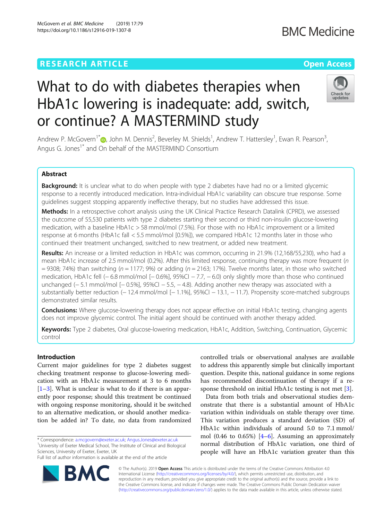## **RESEARCH ARTICLE Example 2014 12:30 The Contract of Contract ACCESS**

# What to do with diabetes therapies when HbA1c lowering is inadequate: add, switch, or continue? A MASTERMIND study

Andrew P. McGovern<sup>1[\\*](http://orcid.org/0000-0002-6833-9399)</sup> (**b**, John M. Dennis<sup>2</sup>, Beverley M. Shields<sup>1</sup>, Andrew T. Hattersley<sup>1</sup>, Ewan R. Pearson<sup>3</sup> , Angus G. Jones<sup>1\*</sup> and On behalf of the MASTERMIND Consortium

### Abstract

Background: It is unclear what to do when people with type 2 diabetes have had no or a limited glycemic response to a recently introduced medication. Intra-individual HbA1c variability can obscure true response. Some guidelines suggest stopping apparently ineffective therapy, but no studies have addressed this issue.

Methods: In a retrospective cohort analysis using the UK Clinical Practice Research Datalink (CPRD), we assessed the outcome of 55,530 patients with type 2 diabetes starting their second or third non-insulin glucose-lowering medication, with a baseline HbA1c > 58 mmol/mol (7.5%). For those with no HbA1c improvement or a limited response at 6 months (HbA1c fall < 5.5 mmol/mol [0.5%]), we compared HbA1c 12 months later in those who continued their treatment unchanged, switched to new treatment, or added new treatment.

Results: An increase or a limited reduction in HbA1c was common, occurring in 21.9% (12,168/55,230), who had a mean HbA1c increase of 2.5 mmol/mol (0.2%). After this limited response, continuing therapy was more frequent (n  $= 9308$ ; 74%) than switching (n = 1177; 9%) or adding (n = 2163; 17%). Twelve months later, in those who switched medication, HbA1c fell (− 6.8 mmol/mol [− 0.6%], 95%CI − 7.7, − 6.0) only slightly more than those who continued unchanged (−5.1 mmol/mol [−0.5%], 95%Cl −5.5, −4.8). Adding another new therapy was associated with a substantially better reduction (− 12.4 mmol/mol [− 1.1%], 95%CI − 13.1, − 11.7). Propensity score-matched subgroups demonstrated similar results.

**Conclusions:** Where glucose-lowering therapy does not appear effective on initial HbA1c testing, changing agents does not improve glycemic control. The initial agent should be continued with another therapy added.

Keywords: Type 2 diabetes, Oral glucose-lowering medication, HbA1c, Addition, Switching, Continuation, Glycemic control

#### Introduction

Current major guidelines for type 2 diabetes suggest checking treatment response to glucose-lowering medication with an HbA1c measurement at 3 to 6 months [[1](#page-7-0)–[3\]](#page-7-0). What is unclear is what to do if there is an apparently poor response; should this treatment be continued with ongoing response monitoring, should it be switched to an alternative medication, or should another medication be added in? To date, no data from randomized

\* Correspondence: [a.mcgovern@exeter.ac.uk;](mailto:a.mcgovern@exeter.ac.uk) [Angus.Jones@exeter.ac.uk](mailto:Angus.Jones@exeter.ac.uk) <sup>1</sup> <sup>1</sup>University of Exeter Medical School, The Institute of Clinical and Biological Sciences, University of Exeter, Exeter, UK

Full list of author information is available at the end of the article

controlled trials or observational analyses are available to address this apparently simple but clinically important question. Despite this, national guidance in some regions has recommended discontinuation of therapy if a response threshold on initial HbA1c testing is not met [\[3](#page-7-0)].

Data from both trials and observational studies demonstrate that there is a substantial amount of HbA1c variation within individuals on stable therapy over time. This variation produces a standard deviation (SD) of HbA1c within individuals of around 5.0 to 7.1 mmol/ mol (0.[4](#page-7-0)6 to 0.65%)  $[4-6]$  $[4-6]$ . Assuming an approximately normal distribution of HbA1c variation, one third of people will have an HbA1c variation greater than this

© The Author(s). 2019 **Open Access** This article is distributed under the terms of the Creative Commons Attribution 4.0 International License [\(http://creativecommons.org/licenses/by/4.0/](http://creativecommons.org/licenses/by/4.0/)), which permits unrestricted use, distribution, and reproduction in any medium, provided you give appropriate credit to the original author(s) and the source, provide a link to the Creative Commons license, and indicate if changes were made. The Creative Commons Public Domain Dedication waiver [\(http://creativecommons.org/publicdomain/zero/1.0/](http://creativecommons.org/publicdomain/zero/1.0/)) applies to the data made available in this article, unless otherwise stated.





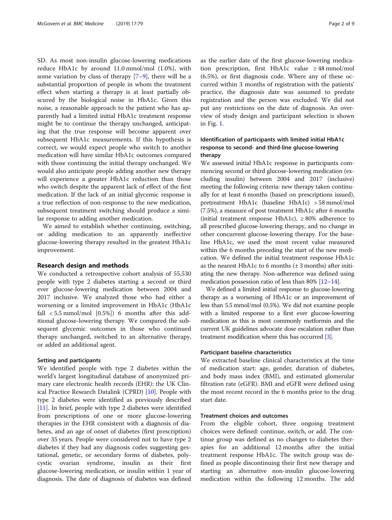SD. As most non-insulin glucose-lowering medications reduce HbA1c by around 11.0 mmol/mol (1.0%), with some variation by class of therapy [[7](#page-7-0)–[9\]](#page-7-0), there will be a substantial proportion of people in whom the treatment effect when starting a therapy is at least partially obscured by the biological noise in HbA1c. Given this noise, a reasonable approach to the patient who has apparently had a limited initial HbA1c treatment response might be to continue the therapy unchanged, anticipating that the true response will become apparent over subsequent HbA1c measurements. If this hypothesis is correct, we would expect people who switch to another medication will have similar HbA1c outcomes compared with those continuing the initial therapy unchanged. We would also anticipate people adding another new therapy will experience a greater HbA1c reduction than those who switch despite the apparent lack of effect of the first medication. If the lack of an initial glycemic response is a true reflection of non-response to the new medication, subsequent treatment switching should produce a similar response to adding another medication.

We aimed to establish whether continuing, switching, or adding medication to an apparently ineffective glucose-lowering therapy resulted in the greatest HbA1c improvement.

#### Research design and methods

We conducted a retrospective cohort analysis of 55,530 people with type 2 diabetes starting a second or third ever glucose-lowering medication between 2004 and 2017 inclusive. We analyzed those who had either a worsening or a limited improvement in HbA1c (HbA1c fall  $<$  5.5 mmol/mol [0.5%]) 6 months after this additional glucose-lowering therapy. We compared the subsequent glycemic outcomes in those who continued therapy unchanged, switched to an alternative therapy, or added an additional agent.

#### Setting and participants

We identified people with type 2 diabetes within the world's largest longitudinal database of anonymized primary care electronic health records (EHR): the UK Clinical Practice Research Datalink (CPRD) [\[10](#page-7-0)]. People with type 2 diabetes were identified as previously described [[11\]](#page-7-0). In brief, people with type 2 diabetes were identified from prescriptions of one or more glucose-lowering therapies in the EHR consistent with a diagnosis of diabetes, and an age of onset of diabetes (first prescription) over 35 years. People were considered not to have type 2 diabetes if they had any diagnosis codes suggesting gestational, genetic, or secondary forms of diabetes, polycystic ovarian syndrome, insulin as their first glucose-lowering medication, or insulin within 1 year of diagnosis. The date of diagnosis of diabetes was defined as the earlier date of the first glucose-lowering medication prescription, first HbA1c value ≥ 48 mmol/mol (6.5%), or first diagnosis code. Where any of these occurred within 3 months of registration with the patients' practice, the diagnosis date was assumed to predate registration and the person was excluded. We did not put any restrictions on the date of diagnosis. An overview of study design and participant selection is shown in Fig. [1](#page-2-0).

#### Identification of participants with limited initial HbA1c response to second- and third-line glucose-lowering therapy

We assessed initial HbA1c response in participants commencing second or third glucose-lowering medication (excluding insulin) between 2004 and 2017 (inclusive) meeting the following criteria: new therapy taken continually for at least 6 months (based on prescriptions issued), pretreatment HbA1c (baseline HbA1c) > 58 mmol/mol (7.5%), a measure of post treatment HbA1c after 6 months (initial treatment response HbA1c),  $\geq 80\%$  adherence to all prescribed glucose-lowering therapy, and no change in other concurrent glucose-lowering therapy. For the baseline HbA1c, we used the most recent value measured within the 6 months preceding the start of the new medication. We defined the initial treatment response HbA1c as the nearest HbA1c to 6 months  $(\pm 3$  months) after initiating the new therapy. Non-adherence was defined using medication possession ratio of less than 80%  $[12-14]$  $[12-14]$  $[12-14]$  $[12-14]$ .

We defined a limited initial response to glucose-lowering therapy as a worsening of HbA1c or an improvement of less than 5.5 mmol/mol (0.5%). We did not examine people with a limited response to a first ever glucose-lowering medication as this is most commonly metformin and the current UK guidelines advocate dose escalation rather than treatment modification where this has occurred [[3](#page-7-0)].

#### Participant baseline characteristics

We extracted baseline clinical characteristics at the time of medication start: age, gender, duration of diabetes, and body mass index (BMI), and estimated glomerular filtration rate (eGFR). BMI and eGFR were defined using the most recent record in the 6 months prior to the drug start date.

#### Treatment choices and outcomes

From the eligible cohort, three ongoing treatment choices were defined: continue, switch, or add. The continue group was defined as no changes to diabetes therapies for an additional 12 months after the initial treatment response HbA1c. The switch group was defined as people discontinuing their first new therapy and starting an alternative non-insulin glucose-lowering medication within the following 12 months. The add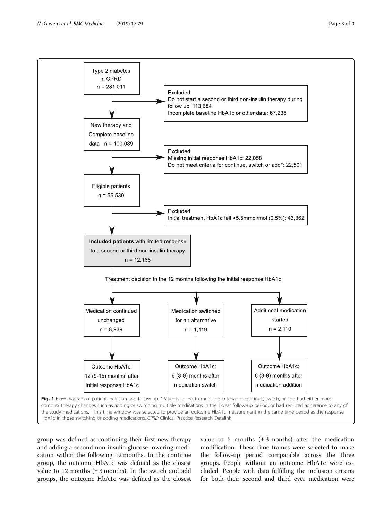<span id="page-2-0"></span>

group was defined as continuing their first new therapy and adding a second non-insulin glucose-lowering medication within the following 12 months. In the continue group, the outcome HbA1c was defined as the closest value to 12 months  $(\pm 3 \text{ months})$ . In the switch and add groups, the outcome HbA1c was defined as the closest

value to 6 months  $(\pm 3 \text{ months})$  after the medication modification. These time frames were selected to make the follow-up period comparable across the three groups. People without an outcome HbA1c were excluded. People with data fulfilling the inclusion criteria for both their second and third ever medication were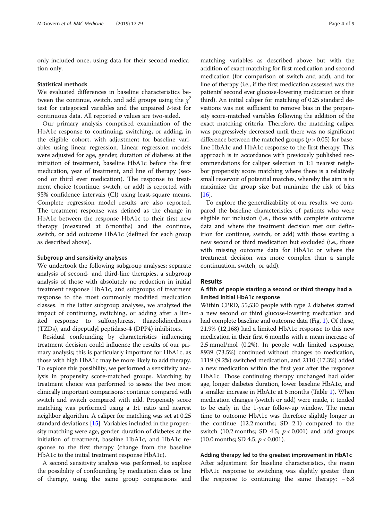only included once, using data for their second medication only.

#### Statistical methods

We evaluated differences in baseline characteristics between the continue, switch, and add groups using the  $\chi^2$ test for categorical variables and the unpaired t-test for continuous data. All reported  $p$  values are two-sided.

Our primary analysis comprised examination of the HbA1c response to continuing, switching, or adding, in the eligible cohort, with adjustment for baseline variables using linear regression. Linear regression models were adjusted for age, gender, duration of diabetes at the initiation of treatment, baseline HbA1c before the first medication, year of treatment, and line of therapy (second or third ever medication). The response to treatment choice (continue, switch, or add) is reported with 95% confidence intervals (CI) using least-square means. Complete regression model results are also reported. The treatment response was defined as the change in HbA1c between the response HbA1c to their first new therapy (measured at 6 months) and the continue, switch, or add outcome HbA1c (defined for each group as described above).

#### Subgroup and sensitivity analyses

We undertook the following subgroup analyses; separate analysis of second- and third-line therapies, a subgroup analysis of those with absolutely no reduction in initial treatment response HbA1c, and subgroups of treatment response to the most commonly modified medication classes. In the latter subgroup analyses, we analyzed the impact of continuing, switching, or adding after a limited response to sulfonylureas, thiazolidinediones (TZDs), and dipeptidyl peptidase-4 (DPP4) inhibitors.

Residual confounding by characteristics influencing treatment decision could influence the results of our primary analysis; this is particularly important for HbA1c, as those with high HbA1c may be more likely to add therapy. To explore this possibility, we performed a sensitivity analysis in propensity score-matched groups. Matching by treatment choice was performed to assess the two most clinically important comparisons: continue compared with switch and switch compared with add. Propensity score matching was performed using a 1:1 ratio and nearest neighbor algorithm. A caliper for matching was set at 0.25 standard deviations [[15](#page-8-0)]. Variables included in the propensity matching were age, gender, duration of diabetes at the initiation of treatment, baseline HbA1c, and HbA1c response to the first therapy (change from the baseline HbA1c to the initial treatment response HbA1c).

A second sensitivity analysis was performed, to explore the possibility of confounding by medication class or line of therapy, using the same group comparisons and

matching variables as described above but with the addition of exact matching for first medication and second medication (for comparison of switch and add), and for line of therapy (i.e., if the first medication assessed was the patients' second ever glucose-lowering medication or their third). An initial caliper for matching of 0.25 standard deviations was not sufficient to remove bias in the propensity score-matched variables following the addition of the exact matching criteria. Therefore, the matching caliper was progressively decreased until there was no significant difference between the matched groups ( $p > 0.05$ ) for baseline HbA1c and HbA1c response to the first therapy. This approach is in accordance with previously published recommendations for caliper selection in 1:1 nearest neighbor propensity score matching where there is a relatively small reservoir of potential matches, whereby the aim is to maximize the group size but minimize the risk of bias  $[16]$  $[16]$  $[16]$ .

To explore the generalizability of our results, we compared the baseline characteristics of patients who were eligible for inclusion (i.e., those with complete outcome data and where the treatment decision met our definition for continue, switch, or add) with those starting a new second or third medication but excluded (i.e., those with missing outcome data for HbA1c or where the treatment decision was more complex than a simple continuation, switch, or add).

#### **Results**

#### A fifth of people starting a second or third therapy had a limited initial HbA1c response

Within CPRD, 55,530 people with type 2 diabetes started a new second or third glucose-lowering medication and had complete baseline and outcome data (Fig. [1](#page-2-0)). Of these, 21.9% (12,168) had a limited HbA1c response to this new medication in their first 6 months with a mean increase of 2.5 mmol/mol (0.2%). In people with limited response, 8939 (73.5%) continued without changes to medication, 1119 (9.2%) switched medication, and 2110 (17.3%) added a new medication within the first year after the response HbA1c. Those continuing therapy unchanged had older age, longer diabetes duration, lower baseline HbA1c, and a smaller increase in HbA1c at 6 months (Table [1\)](#page-4-0). When medication changes (switch or add) were made, it tended to be early in the 1-year follow-up window. The mean time to outcome HbA1c was therefore slightly longer in the continue (12.2 months; SD 2.1) compared to the switch (10.2 months; SD 4.5;  $p < 0.001$ ) and add groups  $(10.0 \text{ months}; SD 4.5; p < 0.001).$ 

#### Adding therapy led to the greatest improvement in HbA1c

After adjustment for baseline characteristics, the mean HbA1c response to switching was slightly greater than the response to continuing the same therapy: − 6.8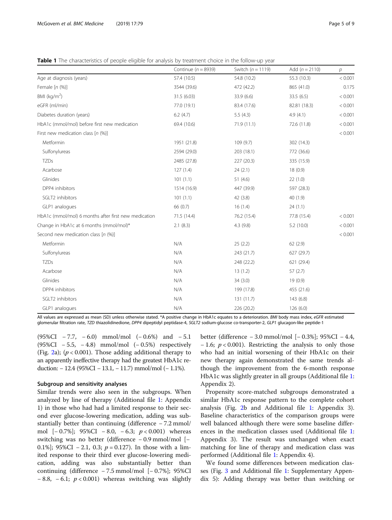<span id="page-4-0"></span>Table 1 The characteristics of people eligible for analysis by treatment choice in the follow-up year

|                                                      | Continue ( $n = 8939$ ) | Switch $(n = 1119)$ | Add $(n = 2110)$ | р       |
|------------------------------------------------------|-------------------------|---------------------|------------------|---------|
| Age at diagnosis (years)                             | 57.4 (10.5)             | 54.8 (10.2)         | 55.3 (10.3)      | < 0.001 |
| Female $[n (%)]$                                     | 3544 (39.6)             | 472 (42.2)          | 865 (41.0)       | 0.175   |
| BMI ( $kg/m2$ )                                      | 31.5(6.03)              | 33.9(6.6)           | 33.5 (6.5)       | < 0.001 |
| eGFR (ml/min)                                        | 77.0 (19.1)             | 83.4 (17.6)         | 82.81 (18.3)     | < 0.001 |
| Diabetes duration (years)                            | 6.2(4.7)                | 5.5(4.3)            | 4.9(4.1)         | < 0.001 |
| HbA1c (mmol/mol) before first new medication         | 69.4 (10.6)             | 71.9(11.1)          | 72.6 (11.8)      | < 0.001 |
| First new medication class $[n (%)]$                 |                         |                     |                  | < 0.001 |
| Metformin                                            | 1951 (21.8)             | 109 (9.7)           | 302 (14.3)       |         |
| Sulfonylureas                                        | 2594 (29.0)             | 203 (18.1)          | 772 (36.6)       |         |
| TZDs                                                 | 2485 (27.8)             | 227 (20.3)          | 335 (15.9)       |         |
| Acarbose                                             | 127(1.4)                | 24(2.1)             | 18(0.9)          |         |
| Glinides                                             | 101(1.1)                | 51 $(4.6)$          | 22(1.0)          |         |
| DPP4 inhibitors                                      | 1514 (16.9)             | 447 (39.9)          | 597 (28.3)       |         |
| SGLT2 inhibitors                                     | 101(1.1)                | 42 (3.8)            | 40(1.9)          |         |
| GLP1 analogues                                       | 66 (0.7)                | 16(1.4)             | 24(1.1)          |         |
| HbA1c (mmol/mol) 6 months after first new medication | 71.5(14.4)              | 76.2 (15.4)         | 77.8 (15.4)      | < 0.001 |
| Change in HbA1c at 6 months (mmol/mol)*              | 2.1(8.3)                | 4.3(9.8)            | 5.2(10.0)        | < 0.001 |
| Second new medication class [n (%)]                  |                         |                     |                  | < 0.001 |
| Metformin                                            | N/A                     | 25(2.2)             | 62(2.9)          |         |
| Sulfonylureas                                        | N/A                     | 243 (21.7)          | 627 (29.7)       |         |
| TZDs                                                 | N/A                     | 248 (22.2)          | 621 (29.4)       |         |
| Acarbose                                             | N/A                     | 13(1.2)             | 57(2.7)          |         |
| Glinides                                             | N/A                     | 34(3.0)             | 19(0.9)          |         |
| DPP4 inhibitors                                      | N/A                     | 199 (17.8)          | 455 (21.6)       |         |
| SGLT2 inhibitors                                     | N/A                     | 131 (11.7)          | 143(6.8)         |         |
| GLP1 analogues                                       | N/A                     | 226 (20.2)          | 126 (6.0)        |         |

All values are expressed as mean (SD) unless otherwise stated. \*A positive change in HbA1c equates to a deterioration. BMI body mass index, eGFR estimated glomerular filtration rate, TZD thiazolidinedione, DPP4 dipeptidyl peptidase-4, SGLT2 sodium-glucose co-transporter-2, GLP1 glucagon-like peptide-1

(95%CI − 7.7, − 6.0) mmol/mol (− 0.6%) and − 5.1  $(95\%CI - 5.5, -4.8)$  mmol/mol  $(-0.5\%)$  respectively (Fig. [2a](#page-5-0)); ( $p < 0.001$ ). Those adding additional therapy to an apparently ineffective therapy had the greatest HbA1c reduction: − 12.4 (95%CI − 13.1, − 11.7) mmol/mol (− 1.1%).

#### Subgroup and sensitivity analyses

Similar trends were also seen in the subgroups. When analyzed by line of therapy (Additional file [1:](#page-6-0) Appendix 1) in those who had had a limited response to their second ever glucose-lowering medication, adding was substantially better than continuing (difference − 7.2 mmol/ mol  $[-0.7\%]$ ; 95%CI − 8.0, − 6.3;  $p < 0.001$ ) whereas switching was no better (difference − 0.9 mmol/mol [− 0.1%]; 95%CI – 2.1, 0.3;  $p = 0.127$ ). In those with a limited response to their third ever glucose-lowering medication, adding was also substantially better than continuing (difference − 7.5 mmol/mol [− 0.7%]; 95%CI  $-8.8$ ,  $-6.1$ ;  $p < 0.001$ ) whereas switching was slightly

better (difference − 3.0 mmol/mol [− 0.3%]; 95%CI − 4.4,  $-1.6$ ;  $p < 0.001$ ). Restricting the analysis to only those who had an initial worsening of their HbA1c on their new therapy again demonstrated the same trends although the improvement from the 6-month response HbA1c was slightly greater in all groups (Additional file [1](#page-6-0): Appendix 2).

Propensity score-matched subgroups demonstrated a similar HbA1c response pattern to the complete cohort analysis (Fig. [2](#page-5-0)b and Additional file [1:](#page-6-0) Appendix 3). Baseline characteristics of the comparison groups were well balanced although there were some baseline differences in the medication classes used (Additional file [1](#page-6-0): Appendix 3). The result was unchanged when exact matching for line of therapy and medication class was performed (Additional file [1:](#page-6-0) Appendix 4).

We found some differences between medication classes (Fig. [3](#page-5-0) and Additional file [1:](#page-6-0) Supplementary Appendix 5): Adding therapy was better than switching or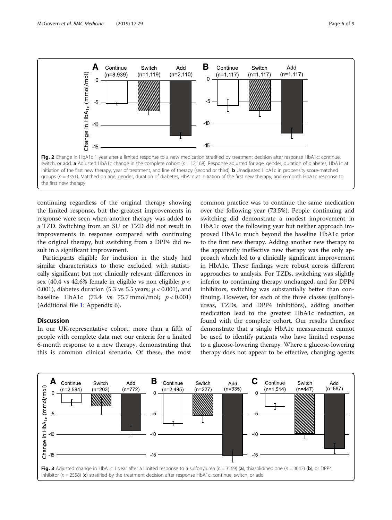<span id="page-5-0"></span>

continuing regardless of the original therapy showing the limited response, but the greatest improvements in response were seen when another therapy was added to a TZD. Switching from an SU or TZD did not result in improvements in response compared with continuing the original therapy, but switching from a DPP4 did result in a significant improvement.

Participants eligible for inclusion in the study had similar characteristics to those excluded, with statistically significant but not clinically relevant differences in sex (40.4 vs 42.6% female in eligible vs non eligible;  $p <$ 0.001), diabetes duration (5.3 vs 5.5 years;  $p < 0.001$ ), and baseline HbA1c (73.4 vs 75.7 mmol/mol;  $p < 0.001$ ) (Additional file [1](#page-6-0): Appendix 6).

#### Discussion

In our UK-representative cohort, more than a fifth of people with complete data met our criteria for a limited 6-month response to a new therapy, demonstrating that this is common clinical scenario. Of these, the most common practice was to continue the same medication over the following year (73.5%). People continuing and switching did demonstrate a modest improvement in HbA1c over the following year but neither approach improved HbA1c much beyond the baseline HbA1c prior to the first new therapy. Adding another new therapy to the apparently ineffective new therapy was the only approach which led to a clinically significant improvement in HbA1c. These findings were robust across different approaches to analysis. For TZDs, switching was slightly inferior to continuing therapy unchanged, and for DPP4 inhibitors, switching was substantially better than continuing. However, for each of the three classes (sulfonylureas, TZDs, and DPP4 inhibitors), adding another medication lead to the greatest HbA1c reduction, as found with the complete cohort. Our results therefore demonstrate that a single HbA1c measurement cannot be used to identify patients who have limited response to a glucose-lowering therapy. Where a glucose-lowering therapy does not appear to be effective, changing agents

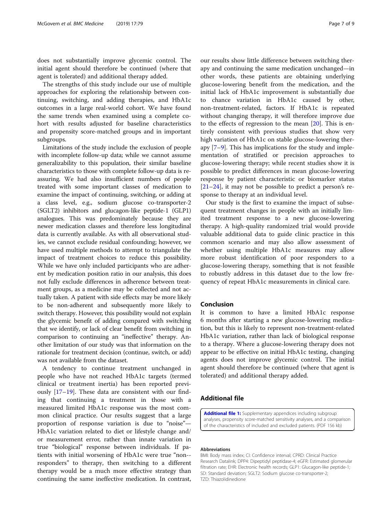<span id="page-6-0"></span>does not substantially improve glycemic control. The initial agent should therefore be continued (where that agent is tolerated) and additional therapy added.

The strengths of this study include our use of multiple approaches for exploring the relationship between continuing, switching, and adding therapies, and HbA1c outcomes in a large real-world cohort. We have found the same trends when examined using a complete cohort with results adjusted for baseline characteristics and propensity score-matched groups and in important subgroups.

Limitations of the study include the exclusion of people with incomplete follow-up data; while we cannot assume generalizability to this population, their similar baseline characteristics to those with complete follow-up data is reassuring. We had also insufficient numbers of people treated with some important classes of medication to examine the impact of continuing, switching, or adding at a class level, e.g., sodium glucose co-transporter-2 (SGLT2) inhibitors and glucagon-like peptide-1 (GLP1) analogues. This was predominately because they are newer medication classes and therefore less longitudinal data is currently available. As with all observational studies, we cannot exclude residual confounding; however, we have used multiple methods to attempt to triangulate the impact of treatment choices to reduce this possibility. While we have only included participants who are adherent by medication position ratio in our analysis, this does not fully exclude differences in adherence between treatment groups, as a medicine may be collected and not actually taken. A patient with side effects may be more likely to be non-adherent and subsequently more likely to switch therapy. However, this possibility would not explain the glycemic benefit of adding compared with switching that we identify, or lack of clear benefit from switching in comparison to continuing an "ineffective" therapy. Another limitation of our study was that information on the rationale for treatment decision (continue, switch, or add) was not available from the dataset.

A tendency to continue treatment unchanged in people who have not reached HbA1c targets (termed clinical or treatment inertia) has been reported previously [[17](#page-8-0)–[19\]](#page-8-0). These data are consistent with our finding that continuing a treatment in those with a measured limited HbA1c response was the most common clinical practice. Our results suggest that a large proportion of response variation is due to "noise"— HbA1c variation related to diet or lifestyle change and/ or measurement error, rather than innate variation in true "biological" response between individuals. If patients with initial worsening of HbA1c were true "non- responders" to therapy, then switching to a different therapy would be a much more effective strategy than continuing the same ineffective medication. In contrast,

our results show little difference between switching therapy and continuing the same medication unchanged—in other words, these patients are obtaining underlying glucose-lowering benefit from the medication, and the initial lack of HbA1c improvement is substantially due to chance variation in HbA1c caused by other, non-treatment-related, factors. If HbA1c is repeated without changing therapy, it will therefore improve due to the effects of regression to the mean [\[20](#page-8-0)]. This is entirely consistent with previous studies that show very high variation of HbA1c on stable glucose-lowering therapy [[7](#page-7-0)–[9\]](#page-7-0). This has implications for the study and implementation of stratified or precision approaches to glucose-lowering therapy; while recent studies show it is possible to predict differences in mean glucose-lowering response by patient characteristic or biomarker status [[21](#page-8-0)–[24](#page-8-0)], it may not be possible to predict a person's response to therapy at an individual level.

Our study is the first to examine the impact of subsequent treatment changes in people with an initially limited treatment response to a new glucose-lowering therapy. A high-quality randomized trial would provide valuable additional data to guide clinic practice in this common scenario and may also allow assessment of whether using multiple HbA1c measures may allow more robust identification of poor responders to a glucose-lowering therapy, something that is not feasible to robustly address in this dataset due to the low frequency of repeat HbA1c measurements in clinical care.

#### Conclusion

It is common to have a limited HbA1c response 6 months after starting a new glucose-lowering medication, but this is likely to represent non-treatment-related HbA1c variation, rather than lack of biological response to a therapy. Where a glucose-lowering therapy does not appear to be effective on initial HbA1c testing, changing agents does not improve glycemic control. The initial agent should therefore be continued (where that agent is tolerated) and additional therapy added.

#### Additional file

[Additional file 1:](https://doi.org/10.1186/s12916-019-1307-8) Supplementary appendices including subgroup analyses, propensity score-matched sensitivity analyses, and a comparison of the characteristics of included and excluded patients. (PDF 156 kb)

#### Abbreviations

BMI: Body mass index; CI: Confidence interval; CPRD: Clinical Practice Research Datalink; DPP4: Dipeptidyl peptidase-4; eGFR: Estimated glomerular filtration rate; EHR: Electronic health records; GLP1: Glucagon-like peptide-1; SD: Standard deviation; SGLT2: Sodium glucose co-transporter-2; TZD: Thiazolidinedione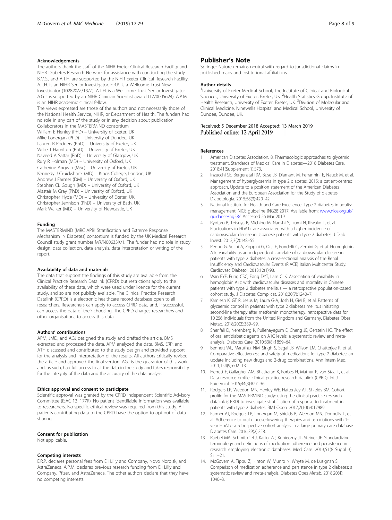#### <span id="page-7-0"></span>Acknowledgements

The authors thank the staff of the NIHR Exeter Clinical Research Facility and NIHR Diabetes Research Network for assistance with conducting the study. B.M.S., and A.T.H. are supported by the NIHR Exeter Clinical Research Facility. A.T.H. is an NIHR Senior Investigator. E.R.P. is a Wellcome Trust New Investigator (102820/Z/13/Z). A.T.H. is a Wellcome Trust Senior Investigator. A.G.J. is supported by an NIHR Clinician Scientist award (17/0005624). A.P.M. is an NIHR academic clinical fellow. The views expressed are those of the authors and not necessarily those of the National Health Service, NIHR, or Department of Health. The funders had no role in any part of the study or in any decision about publication. Collaborators in the MASTERMIND consortium William E Henley (PhD) – University of Exeter, UK Mike Lonergan (PhD) – University of Dundee, UK Lauren R Rodgers (PhD) – University of Exeter, UK Willie T Hamilton (PhD) – University of Exeter, UK Naveed A Sattar (PhD) – University of Glasgow, UK Rury R Holman (MD) – University of Oxford, UK Catherine Angwin (MSc) – University of Exeter, UK Kennedy J Cruickshank (MD) – Kings College, London, UK Andrew J Farmer (DM) – University of Oxford, UK Stephen CL Gough (MD) – University of Oxford, UK Alastair M Gray (PhD) – University of Oxford, UK Christopher Hyde (MD) – University of Exeter, UK Christopher Jennison (PhD) – University of Bath, UK

Funding

The MASTERMIND (MRC APBI Stratification and Extreme Response Mechanism IN Diabetes) consortium is funded by the UK Medical Research Council study grant number MR/N00633X/1. The funder had no role in study design, data collection, data analysis, data interpretation or writing of the report.

#### Availability of data and materials

Mark Walker (MD) – University of Newcastle, UK

The data that support the findings of this study are available from the Clinical Practice Research Datalink (CPRD) but restrictions apply to the availability of these data, which were used under licence for the current study, and so are not publicly available. The Clinical Practice Research Datalink (CPRD) is a electronic healthcare record database open to all researchers. Researchers can apply to access CPRD data, and, if successful, can access the data of their choosing. The CPRD charges researchers and other organisations to access this data.

#### Authors' contributions

APM, JMD, and AGJ designed the study and drafted the article. BMS extracted and processed the data. APM analyzed the data. BMS, ERP, and ATH discussed and contributed to the study design and provided support for the analysis and interpretation of the results. All authors critically revised the article and approved the final version. AGJ is the guarantor of this work and, as such, had full access to all the data in the study and takes responsibility for the integrity of the data and the accuracy of the data analysis.

#### Ethics approval and consent to participate

Scientific approval was granted by the CPRD Independent Scientific Advisory Committee (ISAC 13\_177R). No patient identifiable information was available to researchers. No specific ethical review was required from this study. All patients contributing data to the CPRD have the option to opt out of data sharing.

#### Consent for publication

Not applicable.

#### Competing interests

E.R.P. declares personal fees from Eli Lilly and Company, Novo Nordisk, and AstraZeneca. A.P.M. declares previous research funding from Eli Lilly and Company, Pfizer, and AstraZeneca. The other authors declare that they have no competing interests.

Springer Nature remains neutral with regard to jurisdictional claims in published maps and institutional affiliations.

#### Author details

<sup>1</sup>University of Exeter Medical School, The Institute of Clinical and Biological Sciences, University of Exeter, Exeter, UK. <sup>2</sup> Health Statistics Group, Institute of Health Research, University of Exeter, Exeter, UK. <sup>3</sup> Division of Molecular and Clinical Medicine, Ninewells Hospital and Medical School, University of Dundee, Dundee, UK.

# Received: 5 December 2018 Accepted: 13 March 2019

#### References

- 1. American Diabetes Association. 8. Pharmacologic approaches to glycemic treatment. Standards of Medical Care in Diabetes—2018 Diabetes Care. 2018;41(Supplement 1):S73.
- 2. Inzucchi SE, Bergenstal RM, Buse JB, Diamant M, Ferrannini E, Nauck M, et al. Management of hyperglycaemia in type 2 diabetes, 2015: a patient-centred approach. Update to a position statement of the American Diabetes Association and the European Association for the Study of diabetes. Diabetologia. 2015;58(3):429–42.
- 3. National Institute for Health and Care Excellence. Type 2 diabetes in adults: management. NICE guideline [NG28]2017. Available from: [www.nice.org.uk/](http://www.nice.org.uk/guidance/ng28/) [guidance/ng28/](http://www.nice.org.uk/guidance/ng28/). Accessed 26 Mar 2019.
- 4. Ryotaro B, Tetsuya B, Michino M, Naoshi Y, Izumi N, Kiwako T, et al. Fluctuations in HbA1c are associated with a higher incidence of cardiovascular disease in Japanese patients with type 2 diabetes. J Diab Invest. 2012;3(2):148–55.
- 5. Penno G, Solini A, Zoppini G, Orsi E, Fondelli C, Zerbini G, et al. Hemoglobin A1c variability as an independent correlate of cardiovascular disease in patients with type 2 diabetes: a cross-sectional analysis of the Renal Insufficiency and Cardiovascular Events (RIACE) Italian Multicenter Study. Cardiovasc Diabetol. 2013;12(1):98.
- 6. Wan EYF, Fung CSC, Fong DYT, Lam CLK. Association of variability in hemoglobin A1c with cardiovascular diseases and mortality in Chinese patients with type 2 diabetes mellitus — a retrospective population-based cohort study. J Diabetes Complicat. 2016;30(7):1240–7.
- 7. Kamlesh K, GT R, Jesús M, Laura G-A, Josh H, GM B, et al. Patterns of glycaemic control in patients with type 2 diabetes mellitus initiating second-line therapy after metformin monotherapy: retrospective data for 10 256 individuals from the United Kingdom and Germany. Diabetes Obes Metab. 2018;20(2):389–99.
- 8. Sherifali D, Nerenberg K, Pullenayegum E, Cheng JE, Gerstein HC. The effect of oral antidiabetic agents on A1C levels: a systematic review and metaanalysis. Diabetes Care. 2010;33(8):1859–64.
- 9. Bennett WL, Maruthur NM, Singh S, Segal JB, Wilson LM, Chatterjee R, et al. Comparative effectiveness and safety of medications for type 2 diabetes: an update including new drugs and 2-drug combinations. Ann Intern Med. 2011;154(9):602–13.
- 10. Herrett E, Gallagher AM, Bhaskaran K, Forbes H, Mathur R, van Staa T, et al. Data resource profile: clinical practice research datalink (CPRD). Int J Epidemiol. 2015;44(3):827–36.
- 11. Rodgers LR, Weedon MN, Henley WE, Hattersley AT, Shields BM. Cohort profile for the MASTERMIND study: using the clinical practice research datalink (CPRD) to investigate stratification of response to treatment in patients with type 2 diabetes. BMJ Open. 2017;7(10):e017989.
- 12. Farmer AJ, Rodgers LR, Lonergan M, Shields B, Weedon MN, Donnelly L, et al. Adherence to oral glucose-lowering therapies and associations with 1 year HbA1c: a retrospective cohort analysis in a large primary care database. Diabetes Care. 2016;39(2):258.
- 13. Raebel MA, Schmittdiel J, Karter AJ, Konieczny JL, Steiner JF. Standardizing terminology and definitions of medication adherence and persistence in research employing electronic databases. Med Care. 2013;51(8 Suppl 3): S11–21.
- 14. McGovern A, Tippu Z, Hinton W, Munro N, Whyte M, de Lusignan S. Comparison of medication adherence and persistence in type 2 diabetes: a systematic review and meta-analysis. Diabetes Obes Metab. 2018;20(4): 1040–3.